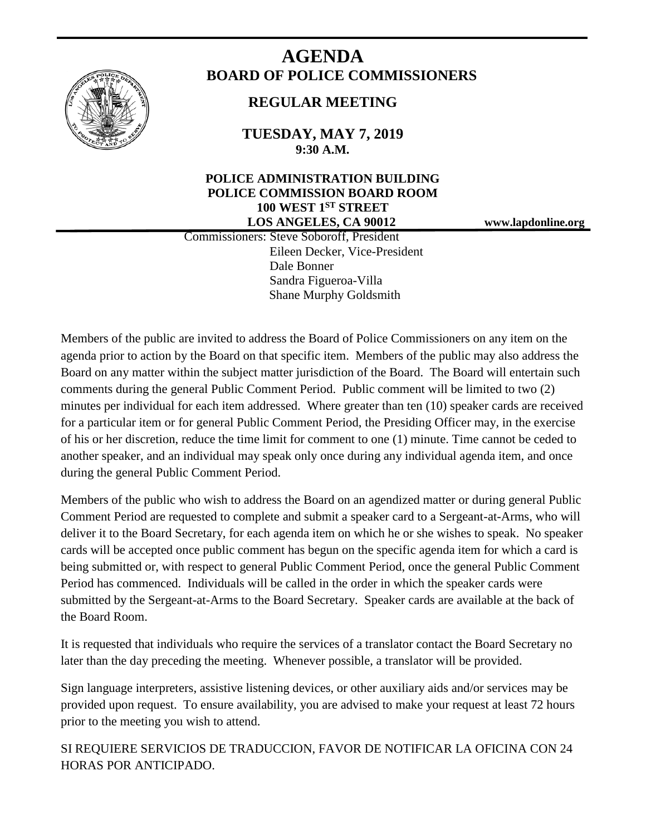

# **AGENDA BOARD OF POLICE COMMISSIONERS**

# **REGULAR MEETING**

**TUESDAY, MAY 7, 2019 9:30 A.M.**

# **POLICE ADMINISTRATION BUILDING POLICE COMMISSION BOARD ROOM 100 WEST 1ST STREET LOS ANGELES, CA 90012 www.lapdonline.org**

 Commissioners: Steve Soboroff, President Eileen Decker, Vice-President Dale Bonner Sandra Figueroa-Villa Shane Murphy Goldsmith

Members of the public are invited to address the Board of Police Commissioners on any item on the agenda prior to action by the Board on that specific item. Members of the public may also address the Board on any matter within the subject matter jurisdiction of the Board. The Board will entertain such comments during the general Public Comment Period. Public comment will be limited to two (2) minutes per individual for each item addressed. Where greater than ten (10) speaker cards are received for a particular item or for general Public Comment Period, the Presiding Officer may, in the exercise of his or her discretion, reduce the time limit for comment to one (1) minute. Time cannot be ceded to another speaker, and an individual may speak only once during any individual agenda item, and once during the general Public Comment Period.

Members of the public who wish to address the Board on an agendized matter or during general Public Comment Period are requested to complete and submit a speaker card to a Sergeant-at-Arms, who will deliver it to the Board Secretary, for each agenda item on which he or she wishes to speak. No speaker cards will be accepted once public comment has begun on the specific agenda item for which a card is being submitted or, with respect to general Public Comment Period, once the general Public Comment Period has commenced. Individuals will be called in the order in which the speaker cards were submitted by the Sergeant-at-Arms to the Board Secretary. Speaker cards are available at the back of the Board Room.

It is requested that individuals who require the services of a translator contact the Board Secretary no later than the day preceding the meeting. Whenever possible, a translator will be provided.

Sign language interpreters, assistive listening devices, or other auxiliary aids and/or services may be provided upon request. To ensure availability, you are advised to make your request at least 72 hours prior to the meeting you wish to attend.

SI REQUIERE SERVICIOS DE TRADUCCION, FAVOR DE NOTIFICAR LA OFICINA CON 24 HORAS POR ANTICIPADO.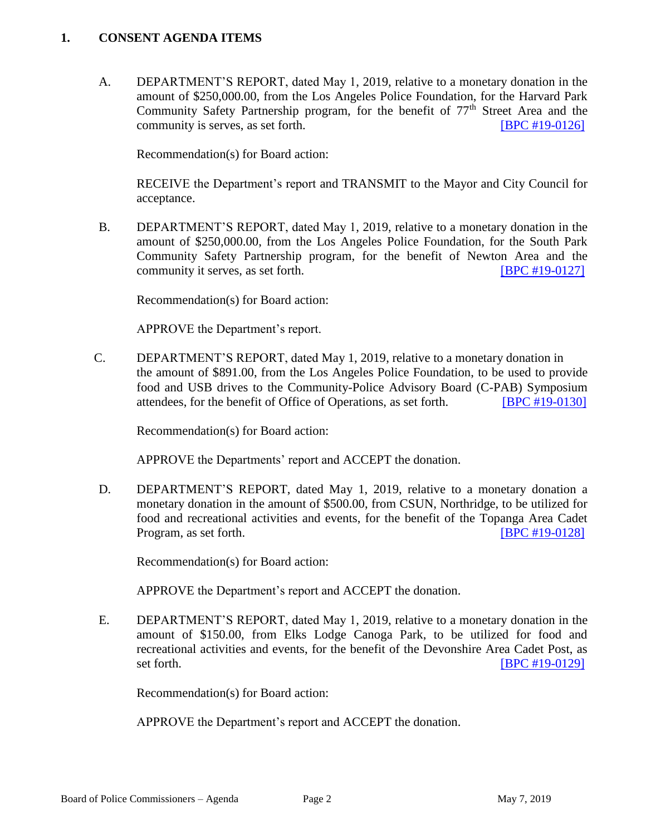# **1. CONSENT AGENDA ITEMS**

A. DEPARTMENT'S REPORT, dated May 1, 2019, relative to a monetary donation in the amount of \$250,000.00, from the Los Angeles Police Foundation, for the Harvard Park Community Safety Partnership program, for the benefit of  $77<sup>th</sup>$  Street Area and the community is serves, as set forth. [\[BPC #19-0126\]](http://www.lapdpolicecom.lacity.org/050719/BPC_19-0126.pdf)

Recommendation(s) for Board action:

RECEIVE the Department's report and TRANSMIT to the Mayor and City Council for acceptance.

B. DEPARTMENT'S REPORT, dated May 1, 2019, relative to a monetary donation in the amount of \$250,000.00, from the Los Angeles Police Foundation, for the South Park Community Safety Partnership program, for the benefit of Newton Area and the community it serves, as set forth. [\[BPC #19-0127\]](http://www.lapdpolicecom.lacity.org/050719/BPC_19-0127.pdf)

Recommendation(s) for Board action:

APPROVE the Department's report.

C. DEPARTMENT'S REPORT, dated May 1, 2019, relative to a monetary donation in the amount of \$891.00, from the Los Angeles Police Foundation, to be used to provide food and USB drives to the Community-Police Advisory Board (C-PAB) Symposium attendees, for the benefit of Office of Operations, as set forth. [\[BPC #19-0130\]](http://www.lapdpolicecom.lacity.org/050719/BPC_19-0130.pdf)

Recommendation(s) for Board action:

APPROVE the Departments' report and ACCEPT the donation.

D. DEPARTMENT'S REPORT, dated May 1, 2019, relative to a monetary donation a monetary donation in the amount of \$500.00, from CSUN, Northridge, to be utilized for food and recreational activities and events, for the benefit of the Topanga Area Cadet Program, as set forth. **[\[BPC #19-0128\]](http://www.lapdpolicecom.lacity.org/050719/BPC_19-0128.pdf)** 

Recommendation(s) for Board action:

APPROVE the Department's report and ACCEPT the donation.

E. DEPARTMENT'S REPORT, dated May 1, 2019, relative to a monetary donation in the amount of \$150.00, from Elks Lodge Canoga Park, to be utilized for food and recreational activities and events, for the benefit of the Devonshire Area Cadet Post, as set forth. **IBPC #19-0129** 

Recommendation(s) for Board action:

APPROVE the Department's report and ACCEPT the donation.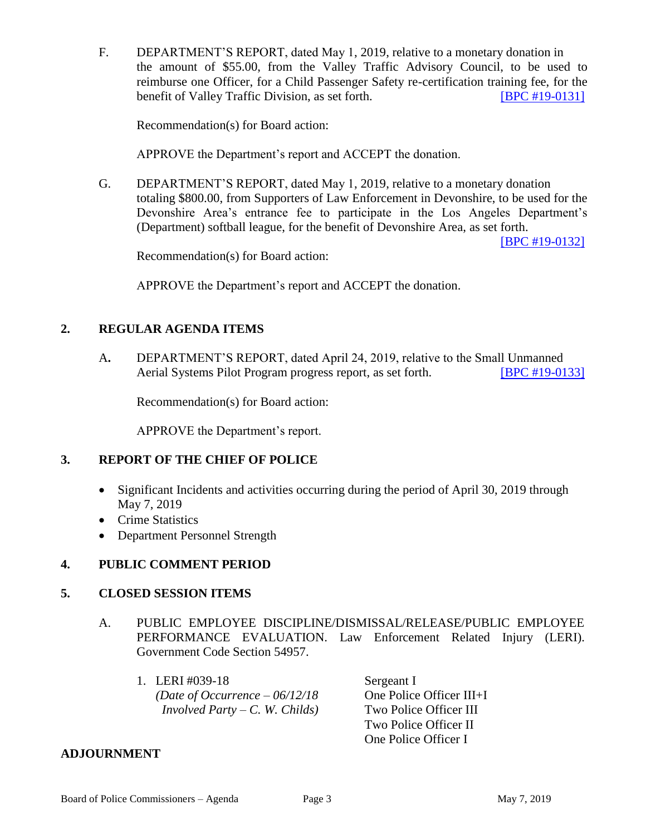F. DEPARTMENT'S REPORT, dated May 1, 2019, relative to a monetary donation in the amount of \$55.00, from the Valley Traffic Advisory Council, to be used to reimburse one Officer, for a Child Passenger Safety re-certification training fee, for the benefit of Valley Traffic Division, as set forth. **[\[BPC #19-0131\]](http://www.lapdpolicecom.lacity.org/050719/BPC_19-0131.pdf)** 

Recommendation(s) for Board action:

APPROVE the Department's report and ACCEPT the donation.

G. DEPARTMENT'S REPORT, dated May 1, 2019, relative to a monetary donation totaling \$800.00, from Supporters of Law Enforcement in Devonshire, to be used for the Devonshire Area's entrance fee to participate in the Los Angeles Department's (Department) softball league, for the benefit of Devonshire Area, as set forth.

[\[BPC #19-0132\]](http://www.lapdpolicecom.lacity.org/050719/BPC_19-0132.pdf)

Recommendation(s) for Board action:

APPROVE the Department's report and ACCEPT the donation.

# **2. REGULAR AGENDA ITEMS**

A**.** DEPARTMENT'S REPORT, dated April 24, 2019, relative to the Small Unmanned Aerial Systems Pilot Program progress report, as set forth. **[\[BPC #19-0133\]](http://www.lapdpolicecom.lacity.org/050719/BPC_19-0133.pdf)** 

Recommendation(s) for Board action:

APPROVE the Department's report.

### **3. REPORT OF THE CHIEF OF POLICE**

- Significant Incidents and activities occurring during the period of April 30, 2019 through May 7, 2019
- Crime Statistics
- Department Personnel Strength

# **4. PUBLIC COMMENT PERIOD**

### **5. CLOSED SESSION ITEMS**

- A. PUBLIC EMPLOYEE DISCIPLINE/DISMISSAL/RELEASE/PUBLIC EMPLOYEE PERFORMANCE EVALUATION. Law Enforcement Related Injury (LERI). Government Code Section 54957.
	- 1. LERI #039-18 Sergeant I *(Date of Occurrence – 06/12/18* One Police Officer III+I *Involved Party – C. W. Childs)* Two Police Officer III

Two Police Officer II One Police Officer I

### **ADJOURNMENT**